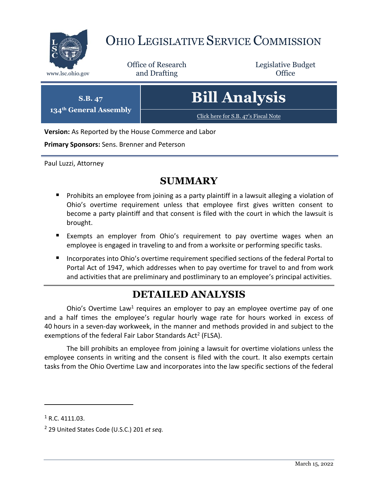

# OHIO LEGISLATIVE SERVICE COMMISSION

Office of Research www.lsc.ohio.gov **and Drafting Office** 

Legislative Budget



**Version:** As Reported by the House Commerce and Labor

**Primary Sponsors:** Sens. Brenner and Peterson

Paul Luzzi, Attorney

### **SUMMARY**

- **Prohibits an employee from joining as a party plaintiff in a lawsuit alleging a violation of** Ohio's overtime requirement unless that employee first gives written consent to become a party plaintiff and that consent is filed with the court in which the lawsuit is brought.
- Exempts an employer from Ohio's requirement to pay overtime wages when an employee is engaged in traveling to and from a worksite or performing specific tasks.
- Incorporates into Ohio's overtime requirement specified sections of the federal Portal to Portal Act of 1947, which addresses when to pay overtime for travel to and from work and activities that are preliminary and postliminary to an employee's principal activities.

## **DETAILED ANALYSIS**

Ohio's Overtime Law<sup>1</sup> requires an employer to pay an employee overtime pay of one and a half times the employee's regular hourly wage rate for hours worked in excess of 40 hours in a seven-day workweek, in the manner and methods provided in and subject to the exemptions of the federal Fair Labor Standards Act<sup>2</sup> (FLSA).

The bill prohibits an employee from joining a lawsuit for overtime violations unless the employee consents in writing and the consent is filed with the court. It also exempts certain tasks from the Ohio Overtime Law and incorporates into the law specific sections of the federal

 $\overline{a}$ 

 $1$  R.C. 4111.03.

<sup>2</sup> 29 United States Code (U.S.C.) 201 *et seq.*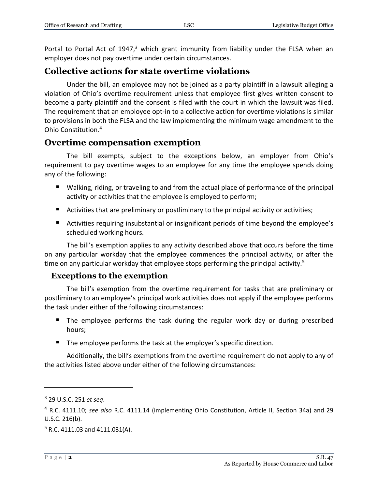Portal to Portal Act of 1947, $3$  which grant immunity from liability under the FLSA when an employer does not pay overtime under certain circumstances.

#### **Collective actions for state overtime violations**

Under the bill, an employee may not be joined as a party plaintiff in a lawsuit alleging a violation of Ohio's overtime requirement unless that employee first gives written consent to become a party plaintiff and the consent is filed with the court in which the lawsuit was filed. The requirement that an employee opt-in to a collective action for overtime violations is similar to provisions in both the FLSA and the law implementing the minimum wage amendment to the Ohio Constitution. 4

#### **Overtime compensation exemption**

The bill exempts, subject to the exceptions below, an employer from Ohio's requirement to pay overtime wages to an employee for any time the employee spends doing any of the following:

- Walking, riding, or traveling to and from the actual place of performance of the principal activity or activities that the employee is employed to perform;
- Activities that are preliminary or postliminary to the principal activity or activities;
- Activities requiring insubstantial or insignificant periods of time beyond the employee's scheduled working hours.

The bill's exemption applies to any activity described above that occurs before the time on any particular workday that the employee commences the principal activity, or after the time on any particular workday that employee stops performing the principal activity.<sup>5</sup>

#### **Exceptions to the exemption**

The bill's exemption from the overtime requirement for tasks that are preliminary or postliminary to an employee's principal work activities does not apply if the employee performs the task under either of the following circumstances:

- The employee performs the task during the regular work day or during prescribed hours;
- The employee performs the task at the employer's specific direction.

Additionally, the bill's exemptions from the overtime requirement do not apply to any of the activities listed above under either of the following circumstances:

 $\overline{a}$ 

<sup>3</sup> 29 U.S.C. 251 *et seq*.

<sup>4</sup> R.C. 4111.10; *see also* R.C. 4111.14 (implementing Ohio Constitution, Article II, Section 34a) and 29 U.S.C. 216(b).

 $5$  R.C. 4111.03 and 4111.031(A).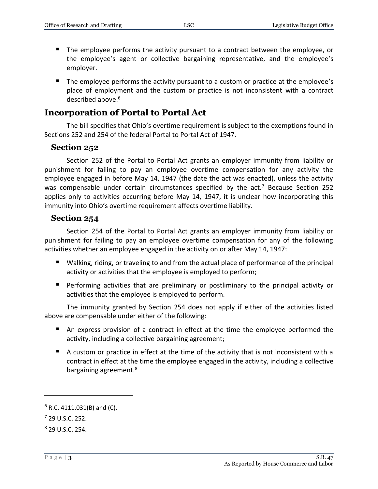- The employee performs the activity pursuant to a contract between the employee, or the employee's agent or collective bargaining representative, and the employee's employer.
- The employee performs the activity pursuant to a custom or practice at the employee's place of employment and the custom or practice is not inconsistent with a contract described above.<sup>6</sup>

#### **Incorporation of Portal to Portal Act**

The bill specifies that Ohio's overtime requirement is subject to the exemptions found in Sections 252 and 254 of the federal Portal to Portal Act of 1947.

#### **Section 252**

Section 252 of the Portal to Portal Act grants an employer immunity from liability or punishment for failing to pay an employee overtime compensation for any activity the employee engaged in before May 14, 1947 (the date the act was enacted), unless the activity was compensable under certain circumstances specified by the act.<sup>7</sup> Because Section 252 applies only to activities occurring before May 14, 1947, it is unclear how incorporating this immunity into Ohio's overtime requirement affects overtime liability.

#### **Section 254**

Section 254 of the Portal to Portal Act grants an employer immunity from liability or punishment for failing to pay an employee overtime compensation for any of the following activities whether an employee engaged in the activity on or after May 14, 1947:

- Walking, riding, or traveling to and from the actual place of performance of the principal activity or activities that the employee is employed to perform;
- **Performing activities that are preliminary or postliminary to the principal activity or** activities that the employee is employed to perform.

The immunity granted by Section 254 does not apply if either of the activities listed above are compensable under either of the following:

- An express provision of a contract in effect at the time the employee performed the activity, including a collective bargaining agreement;
- A custom or practice in effect at the time of the activity that is not inconsistent with a contract in effect at the time the employee engaged in the activity, including a collective bargaining agreement.<sup>8</sup>

 $\overline{a}$ 

 $6$  R.C. 4111.031(B) and (C).

 $<sup>7</sup>$  29 U.S.C. 252.</sup>

<sup>8</sup> 29 U.S.C. 254.